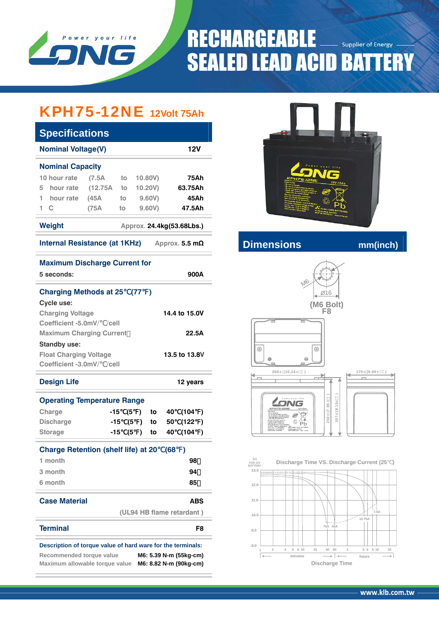

# **RECHARGEABLE** Supplier of Energy **SEALED LEAD ACID BATTERY**

### KPH75-12NE **12Volt 75Ah**

| <b>Specifications</b>                                       |       |     |                     |               |      |                           |           |  |
|-------------------------------------------------------------|-------|-----|---------------------|---------------|------|---------------------------|-----------|--|
| <b>Nominal Voltage(V)</b>                                   |       |     |                     |               |      | 12V                       |           |  |
| <b>Nominal Capacity</b>                                     |       |     |                     |               |      |                           |           |  |
| 10 hour rate                                                | (7.5A |     |                     |               |      | 75Ah                      |           |  |
| hour rate (12.75A to<br>5                                   |       |     |                     | 10.20V)       |      | 63.75Ah                   |           |  |
| hour rate<br>1                                              | (45A) | to  |                     | 9.60V)        |      | 45Ah                      |           |  |
| $\mathbf C$<br>1                                            | (75A  | to  |                     | 9.60V         |      | 47.5Ah                    |           |  |
| <b>Weight</b>                                               |       |     |                     |               |      | Approx. 24.4kg(53.68Lbs.) |           |  |
| Internal Resistance (at 1KHz)                               |       |     |                     |               |      | Approx. 5.5 $m\Omega$     |           |  |
| <b>Maximum Discharge Current for</b>                        |       |     |                     |               |      |                           |           |  |
| 5 seconds:                                                  |       |     |                     |               |      | 900A                      |           |  |
| <b>Charging Methods at 25</b>                               |       |     | (77)                | $\rightarrow$ |      |                           |           |  |
| Cycle use:                                                  |       |     |                     |               |      |                           |           |  |
| <b>Charging Voltage</b>                                     |       |     |                     |               |      | 14.4 to 15.0V             |           |  |
| Coefficient -5.0mV/ /cell                                   |       |     |                     |               |      |                           |           |  |
| <b>Maximum Charging Current</b><br>22.5A                    |       |     |                     |               |      |                           |           |  |
| <b>Standby use:</b>                                         |       |     |                     |               |      |                           |           |  |
| <b>Float Charging Voltage</b>                               |       |     |                     |               |      | 13.5 to 13.8V             |           |  |
| Coefficient -3.0mV/ /cell                                   |       |     |                     |               |      |                           |           |  |
| <b>Design Life</b>                                          |       |     |                     |               |      | 12 years                  |           |  |
| <b>Operating Temperature Range</b>                          |       |     |                     |               |      |                           |           |  |
| Charge                                                      | -15   |     | (5<br>$\mathcal{L}$ | to            | 40   | (104                      | $\lambda$ |  |
| <b>Discharge</b>                                            |       | -15 | (5<br>$\mathbf{r}$  | to            | 50   | (122                      | )         |  |
| <b>Storage</b>                                              |       | -15 | (5<br>$\mathcal{L}$ | to            | 40   | (104                      | $\lambda$ |  |
| <b>Charge Retention (shelf life) at 20</b>                  |       |     |                     |               | (68) | )                         |           |  |
| 1 month                                                     |       |     |                     |               |      | 98                        |           |  |
| 3 month                                                     |       |     |                     |               |      | 94                        |           |  |
| 6 month                                                     |       |     |                     |               |      | 85                        |           |  |
|                                                             |       |     |                     |               |      |                           |           |  |
| <b>Case Material</b>                                        |       |     |                     |               |      | ABS                       |           |  |
|                                                             |       |     |                     |               |      | (UL94 HB flame retardant) |           |  |
| <b>Terminal</b>                                             |       |     |                     |               |      |                           | F8        |  |
|                                                             |       |     |                     |               |      |                           |           |  |
| Description of torque value of hard ware for the terminals: |       |     |                     |               |      |                           |           |  |
| Recommended torque value                                    |       |     |                     |               |      | M6: 5.39 N-m (55kg-cm)    |           |  |
| Maximum allowable torque value                              |       |     |                     |               |      | M6: 8.82 N-m (90kg-cm)    |           |  |



### **Internal Resistance (a)** manufacturer mm(inch)